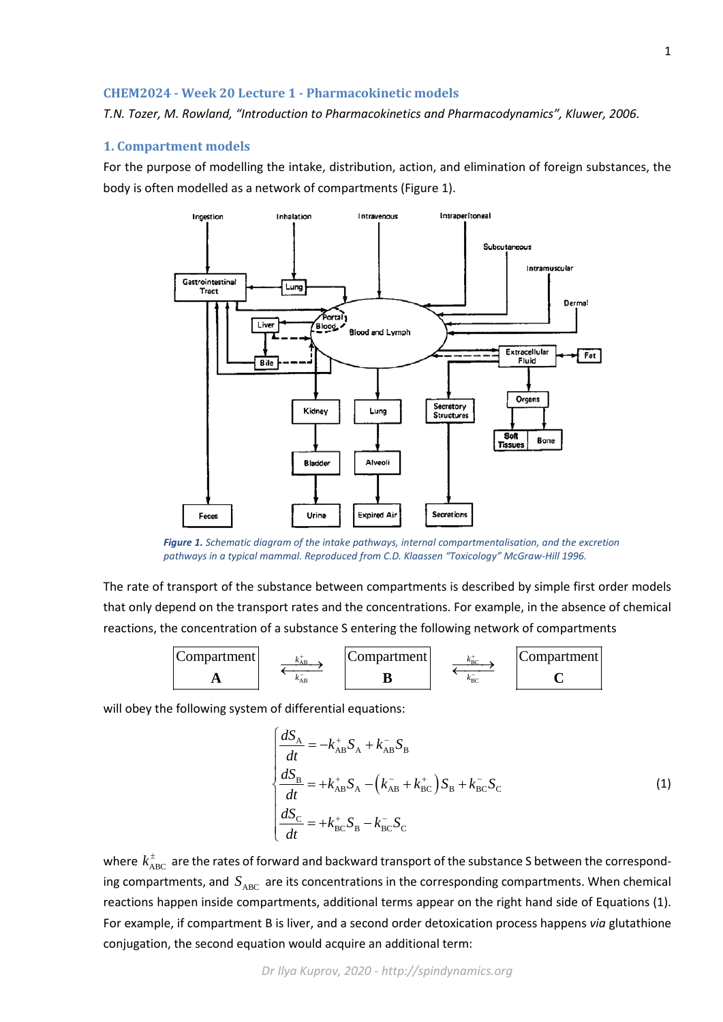## **CHEM2024 - Week 20 Lecture 1 - Pharmacokinetic models**

*T.N. Tozer, M. Rowland, "Introduction to Pharmacokinetics and Pharmacodynamics", Kluwer, 2006.*

## **1. Compartment models**

For the purpose of modelling the intake, distribution, action, and elimination of foreign substances, the body is often modelled as a network of compartments (Figure 1).



*Figure 1. Schematic diagram of the intake pathways, internal compartmentalisation, and the excretion pathways in a typical mammal. Reproduced from C.D. Klaassen "Toxicology" McGraw-Hill 1996.*

The rate of transport of the substance between compartments is described by simple first order models that only depend on the transport rates and the concentrations. For example, in the absence of chemical reactions, the concentration of a substance S entering the following network of compartments



will obey the following system of differential equations:

$$
\begin{cases}\n\frac{dS_{A}}{dt} = -k_{AB}^{+} S_{A} + k_{AB}^{-} S_{B} \\
\frac{dS_{B}}{dt} = +k_{AB}^{+} S_{A} - (k_{AB}^{-} + k_{BC}^{+}) S_{B} + k_{BC}^{-} S_{C} \\
\frac{dS_{C}}{dt} = +k_{BC}^{+} S_{B} - k_{BC}^{-} S_{C}\n\end{cases}
$$
\n(1)

where  $k_{ABC}^{\pm}$  are the rates of forward and backward transport of the substance S between the corresponding compartments, and  $S_{ABC}$  are its concentrations in the corresponding compartments. When chemical reactions happen inside compartments, additional terms appear on the right hand side of Equations (1). For example, if compartment B is liver, and a second order detoxication process happens *via* glutathione conjugation, the second equation would acquire an additional term: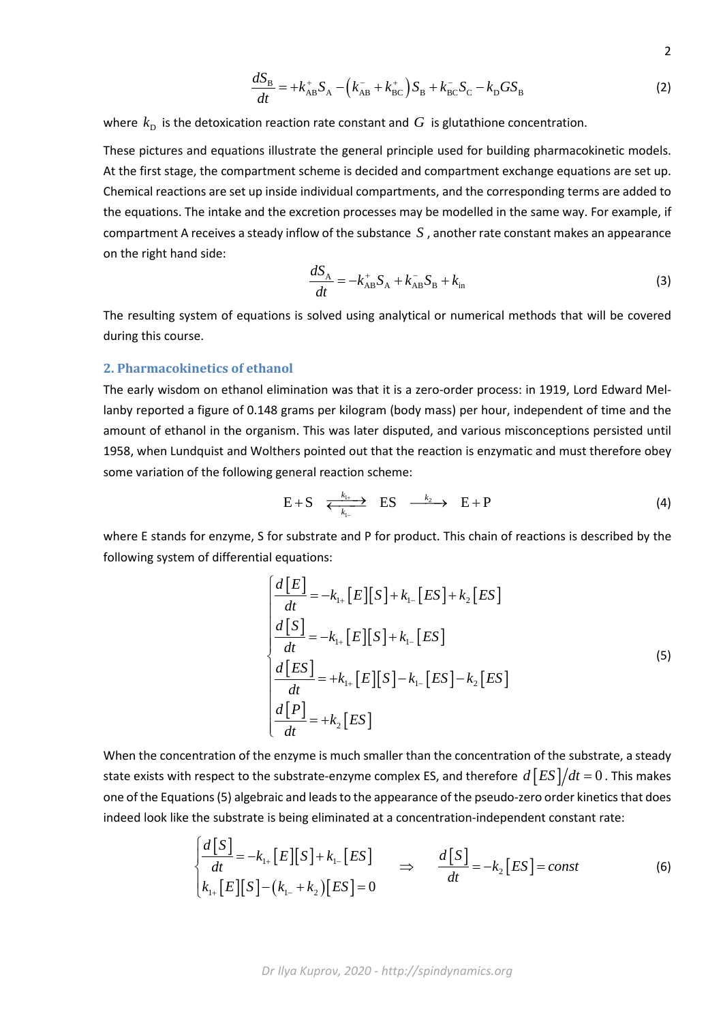$$
\frac{dS_{\rm B}}{dt} = +k_{\rm AB}^{+}S_{\rm A} - (k_{\rm AB}^{-} + k_{\rm BC}^{+})S_{\rm B} + k_{\rm BC}^{-}S_{\rm C} - k_{\rm D}GS_{\rm B}
$$
\n(2)

2

where  $k_{\rm p}$  is the detoxication reaction rate constant and  $G$  is glutathione concentration.

These pictures and equations illustrate the general principle used for building pharmacokinetic models. At the first stage, the compartment scheme is decided and compartment exchange equations are set up. Chemical reactions are set up inside individual compartments, and the corresponding terms are added to the equations. The intake and the excretion processes may be modelled in the same way. For example, if compartment A receives a steady inflow of the substance *S* , another rate constant makes an appearance on the right hand side:

$$
\frac{dS_{A}}{dt} = -k_{AB}^{+}S_{A} + k_{AB}^{-}S_{B} + k_{in}
$$
\n(3)

The resulting system of equations is solved using analytical or numerical methods that will be covered during this course.

## **2. Pharmacokinetics of ethanol**

The early wisdom on ethanol elimination was that it is a zero-order process: in 1919, Lord Edward Mellanby reported a figure of 0.148 grams per kilogram (body mass) per hour, independent of time and the amount of ethanol in the organism. This was later disputed, and various misconceptions persisted until 1958, when Lundquist and Wolthers pointed out that the reaction is enzymatic and must therefore obey some variation of the following general reaction scheme:

$$
E+S \xrightarrow[k_{1+}]{k_{1+}} ES \xrightarrow{k_2} E+P \tag{4}
$$

where E stands for enzyme, S for substrate and P for product. This chain of reactions is described by the following system of differential equations:

$$
\begin{cases}\n\frac{d[E]}{dt} = -k_{1+}[E][S] + k_{1-}[ES] + k_2[ES] \\
\frac{d[S]}{dt} = -k_{1+}[E][S] + k_{1-}[ES] \\
\frac{d[ES]}{dt} = +k_{1+}[E][S] - k_{1-}[ES] - k_2[ES] \\
\frac{d[P]}{dt} = +k_2[ES]\n\end{cases}
$$
\n(5)

When the concentration of the enzyme is much smaller than the concentration of the substrate, a steady state exists with respect to the substrate-enzyme complex ES, and therefore  $d\left [ES]/dt = 0$ . This makes one of the Equations (5) algebraic and leads to the appearance of the pseudo-zero order kinetics that does indeed look like the substrate is being eliminated at a concentration-independent constant rate:

$$
\begin{cases}\n\frac{d[S]}{dt} = -k_{1+}[E][S] + k_{1-}[ES] \\
k_{1+}[E][S] - (k_{1-} + k_2)[ES] = 0\n\end{cases} \Rightarrow \frac{d[S]}{dt} = -k_2[ES] = const
$$
\n(6)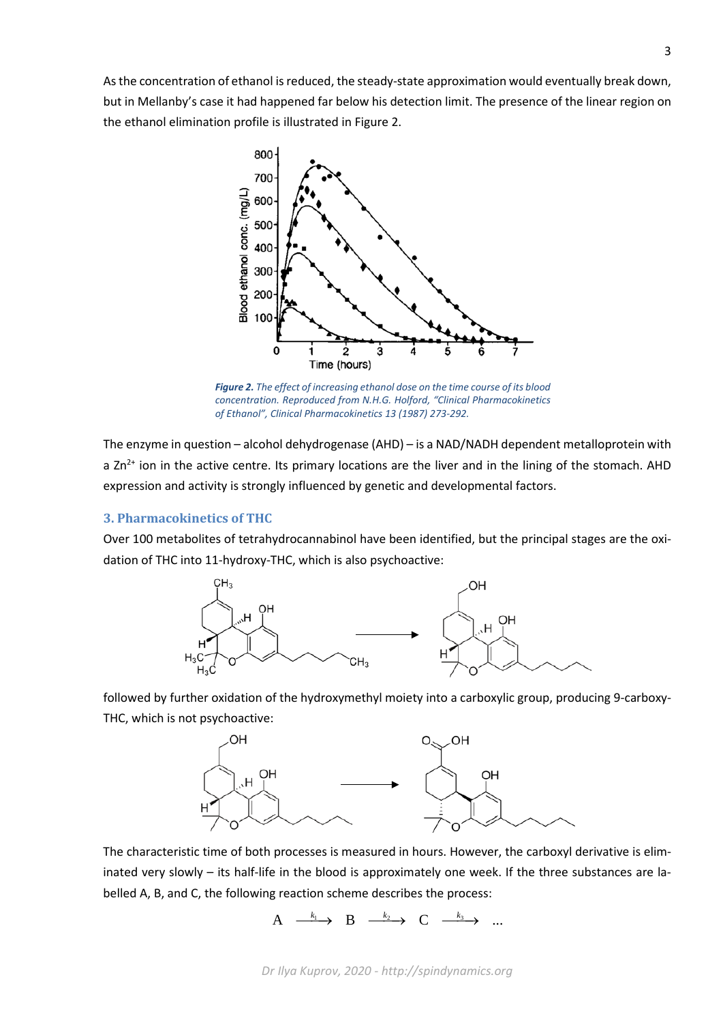As the concentration of ethanol is reduced, the steady-state approximation would eventually break down, but in Mellanby's case it had happened far below his detection limit. The presence of the linear region on the ethanol elimination profile is illustrated in Figure 2.



*Figure 2. The effect of increasing ethanol dose on the time course of its blood concentration. Reproduced from N.H.G. Holford, "Clinical Pharmacokinetics of Ethanol", Clinical Pharmacokinetics 13 (1987) 273-292.*

The enzyme in question – alcohol dehydrogenase (AHD) – is a NAD/NADH dependent metalloprotein with a  $Zn^{2+}$  ion in the active centre. Its primary locations are the liver and in the lining of the stomach. AHD expression and activity is strongly influenced by genetic and developmental factors.

## **3. Pharmacokinetics of THC**

Over 100 metabolites of tetrahydrocannabinol have been identified, but the principal stages are the oxidation of THC into 11-hydroxy-THC, which is also psychoactive:



followed by further oxidation of the hydroxymethyl moiety into a carboxylic group, producing 9-carboxy-THC, which is not psychoactive:



The characteristic time of both processes is measured in hours. However, the carboxyl derivative is eliminated very slowly – its half-life in the blood is approximately one week. If the three substances are labelled A, B, and C, the following reaction scheme describes the process:

 $A \xrightarrow{k_1} B \xrightarrow{k_2} C$